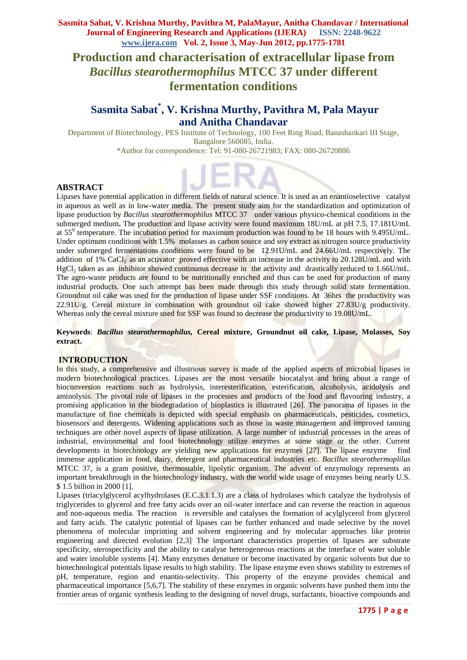# **Production and characterisation of extracellular lipase from**  *Bacillus stearothermophilus* **MTCC 37 under different fermentation conditions**

## **Sasmita Sabat\* , V. Krishna Murthy, Pavithra M, Pala Mayur and Anitha Chandavar**

Department of Biotechnology, PES Institute of Technology, 100 Feet Ring Road, Banashankari III Stage, Bangalore 560085, India. \*Author for correspondence: Tel: 91-080-26721983; FAX: 080-26720886

## **ABSTRACT**

Lipases have potential application in different fields of natural science. It is used as an enantioselective catalyst in aqueous as well as in low-water media. The present study aim for the standardization and optimization of lipase production by *Bacillus stearothermophilus* MTCC 37 under various physico-chemical conditions in the submerged medium**.** The production and lipase activity were found maximum 18U/mL at pH 7.5, 17.181U/mL at 55<sup>0</sup> temperature. The incubation period for maximum production was found to be 18 hours with 9.495U/mL. Under optimum conditions with 1.5% molasses as carbon source and soy extract as nitrogen source productivity under submerged fermentations conditions were found to be 12.91U/mL and 24.66U/mL respectively. The addition of 1% CaCl<sub>2</sub> as an activator proved effective with an increase in the activity to 20.128U/mL and with  $HgCl<sub>2</sub>$  taken as an inhibitor showed continuous decrease in the activity and drastically reduced to 1.66U/mL. The agro-waste products are found to be nutritionally enriched and thus can be used for production of many industrial products. One such attempt has been made through this study through solid state fermentation. Groundnut oil cake was used for the production of lipase under SSF conditions. At 36hrs the productivity was 22.91U/g. Cereal mixture in combination with groundnut oil cake showed higher 27.83U/g productivity. Whereas only the cereal mixture used for SSF was found to decrease the productivity to 19.08U/mL.

**Keywords**: *Bacillus stearothermophilus,* **Cereal mixture, Groundnut oil cake***,* **Lipase, Molasses, Soy extract.**

#### **INTRODUCTION**

In this study, a comprehensive and illustrious survey is made of the applied aspects of microbial lipases in modern biotechnological practices. Lipases are the most versatile biocatalyst and bring about a range of bioconversion reactions such as hydrolysis, interesterification, esterification, alcoholysis, acidolysis and aminolysis. The pivotal role of lipases in the processes and products of the food and flavouring industry, a promising application in the biodegradation of bioplastics is illustrated [26]. The panorama of lipases in the manufacture of fine chemicals is depicted with special emphasis on pharmaceuticals, pesticides, cosmetics, biosensors and detergents. Widening applications such as those in waste management and improved tanning techniques are other novel aspects of lipase utilization. A large number of industrial processes in the areas of industrial, environmental and food biotechnology utilize enzymes at some stage or the other. Current developments in biotechnology are yielding new applications for enzymes [27]. The lipase enzyme find immense application in food, dairy, detergent and pharmaceutical industries etc. *Bacillus stearothermoplilus* MTCC 37, is a gram positive, thermostable, lipolytic organism. The advent of enzymology represents an important breakthrough in the biotechnology industry, with the world wide usage of enzymes being nearly U.S. \$ 1.5 billion in 2000 [1].

Lipases (triacylglycerol acylhydrolases (E.C.3.1.1.3) are a class of hydrolases which catalyze the hydrolysis of triglycerides to glycerol and free fatty acids over an oil-water interface and can reverse the reaction in aqueous and non-aqueous media. The reaction is reversible and catalyses the formation of acylglycerol from glycerol and fatty acids. The catalytic potential of lipases can be further enhanced and made selective by the novel phenomena of molecular imprinting and solvent engineering and by molecular approaches like protein engineering and directed evolution [2,3]. The important characteristics properties of lipases are substrate specificity, sterospecificity and the ability to catalyse heterogeneous reactions at the interface of water soluble and water insoluble systems [4]. Many enzymes denature or become inactivated by organic solvents but due to biotechnological potentials lipase results to high stability. The lipase enzyme even shows stability to extremes of pH, temperature, region and enantio-selectivity. This property of the enzyme provides chemical and pharmaceutical importance [5,6,7]. The stability of these enzymes in organic solvents have pushed them into the frontier areas of organic synthesis leading to the designing of novel drugs, surfactants, bioactive compounds and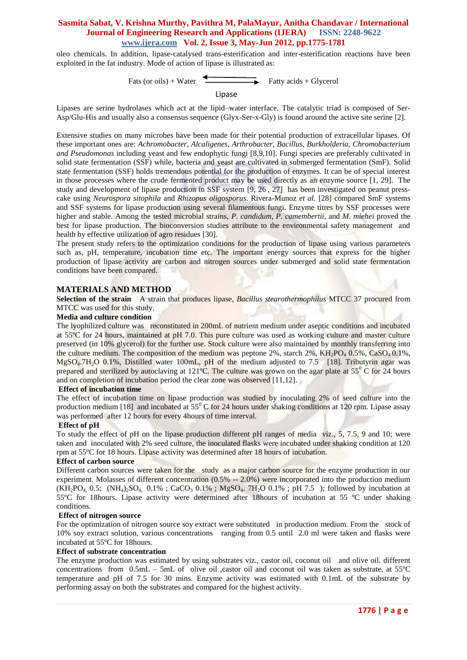oleo chemicals. In addition, lipase-catalysed trans-esterification and inter-esterification reactions have been exploited in the fat industry. Mode of action of lipase is illustrated as:

Fats (or oils) + Water Fatty acids + Glycerol Lipase

Lipases are serine hydrolases which act at the lipid–water interface. The catalytic triad is composed of Ser-Asp/Glu-His and usually also a consensus sequence (Glyx-Ser-x-Gly) is found around the active site serine [2].

Extensive studies on many microbes have been made for their potential production of extracellular lipases. Of these important ones are: *Achromobacter, Alcaligenes, Arthrobacter, Bacillus, Burkholderia, Chromobacterium and Pseudomonas* including yeast and few endophytic fungi [8,9,10]. Fungi species are preferably cultivated in solid state fermentation (SSF) while, bacteria and yeast are cultivated in submerged fermentation (SmF). Solid state fermentation (SSF) holds tremendous potential for the production of enzymes. It can be of special interest in those processes where the crude fermented product may be used directly as an enzyme source [1, 29]. The study and development of lipase production in SSF system [9, 26 , 27] has been investigated on peanut presscake using *Neurospora sitophila* and *Rhizopus oligosporus*. Rivera-Munoz *et al.* [28] compared SmF systems and SSF systems for lipase production using several filamentous fungi. Enzyme titres by SSF processes were higher and stable. Among the tested microbial strains, *P. candidum*, *P. camembertii,* and *M. miehei* proved the best for lipase production. The bioconversion studies attribute to the environmental safety management and health by effective utilization of agro residues [30].

The present study refers to the optimization conditions for the production of lipase using various parameters such as, pH, temperature, incubation time etc. The important energy sources that express for the higher production of lipase activity are carbon and nitrogen sources under submerged and solid state fermentation conditions have been compared.

#### **MATERIALS AND METHOD**

**Selection of the strain** A strain that produces lipase, *Bacillus stearothermophilus* MTCC 37 procured from MTCC was used for this study.

#### **Media and culture condition**

The lyophilized culture was reconstituted in 200mL of nutrient medium under aseptic conditions and incubated at 55ºC for 24 hours, maintained at pH 7.0. This pure culture was used as working culture and master culture preserved (in 10% glycerol) for the further use. Stock culture were also maintained by monthly transferring into the culture medium. The composition of the medium was peptone 2%, starch 2%,  $KH_2PO_4$  0.5%, CaSO<sub>4</sub> 0.1%, MgSO<sub>4</sub>.7H<sub>2</sub>O 0.1%, Distilled water 100mL, pH of the medium adjusted to 7.5 [18]. Tributyrin agar was prepared and sterilized by autoclaving at 121<sup>°</sup>C. The culture was grown on the agar plate at 55<sup>°</sup> C for 24 hours and on completion of incubation period the clear zone was observed [11,12].

#### **Effect of incubation time**

The effect of incubation time on lipase production was studied by inoculating 2% of seed culture into the production medium [18] and incubated at  $55^{\circ}$  C for 24 hours under shaking conditions at 120 rpm. Lipase assay was performed after 12 hours for every 4 hours of time interval.

#### **Effect of pH**

To study the effect of pH on the lipase production different pH ranges of media viz., 5, 7.5, 9 and 10; were taken and inoculated with 2% seed culture, the inoculated flasks were incubated under shaking condition at 120 rpm at 55ºC for 18 hours. Lipase activity was determined after 18 hours of incubation.

#### **Effect of carbon source**

Different carbon sources were taken for the study as a major carbon source for the enzyme production in our experiment. Molasses of different concentration (0.5% -- 2.0%) were incorporated into the production medium  $(KH_2PO_4 \t0.5; (NH_4)_{2}SO_4 \t0.1\%; CaCO_3 \t0.1\%; MgSO_4 \t.7H_2O \t0.1\%; pH 7.5)$ ; followed by incubation at 55ºC for 18hours. Lipase activity were determined after 18hours of incubation at 55 ºC under shaking conditions.

#### **Effect of nitrogen source**

For the optimization of nitrogen source soy extract were substituted in production medium. From the stock of 10% soy extract solution, various concentrations ranging from 0.5 until 2.0 ml were taken and flasks were incubated at 55ºC for 18hours.

#### **Effect of substrate concentration**

The enzyme production was estimated by using substrates viz., castor oil, coconut oil and olive oil. different concentrations from 0.5mL – 5mL of olive oil ,castor oil and coconut oil was taken as substrate, at 55ºC temperature and pH of 7.5 for 30 mins. Enzyme activity was estimated with 0.1mL of the substrate by performing assay on both the substrates and compared for the highest activity.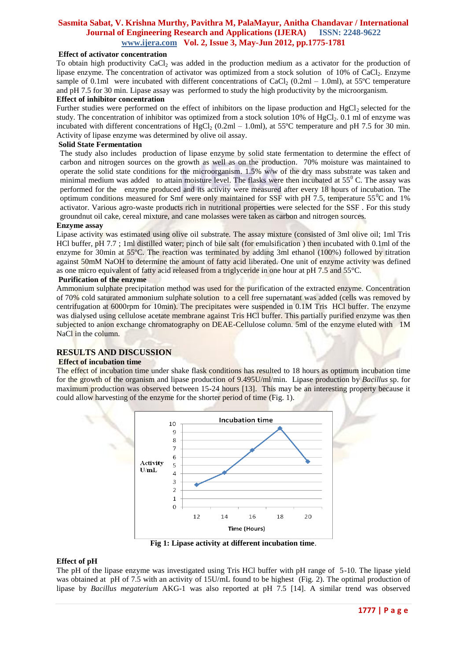### **Effect of activator concentration**

To obtain high productivity CaCl<sub>2</sub> was added in the production medium as a activator for the production of lipase enzyme. The concentration of activator was optimized from a stock solution of 10% of CaCl<sub>2</sub>. Enzyme sample of 0.1ml were incubated with different concentrations of CaCl<sub>2</sub> (0.2ml – 1.0ml), at 55°C temperature and pH 7.5 for 30 min. Lipase assay was performed to study the high productivity by the microorganism.

#### **Effect of inhibitor concentration**

Further studies were performed on the effect of inhibitors on the lipase production and  $HgCl<sub>2</sub>$  selected for the study. The concentration of inhibitor was optimized from a stock solution  $10\%$  of HgCl<sub>2</sub>. 0.1 ml of enzyme was incubated with different concentrations of HgCl<sub>2</sub> (0.2ml – 1.0ml), at 55°C temperature and pH 7.5 for 30 min. Activity of lipase enzyme was determined by olive oil assay.

#### **Solid State Fermentation**

The study also includes production of lipase enzyme by solid state fermentation to determine the effect of carbon and nitrogen sources on the growth as well as on the production. 70% moisture was maintained to operate the solid state conditions for the microorganism.  $1.5\%$  w/w of the dry mass substrate was taken and minimal medium was added to attain moisture level. The flasks were then incubated at  $55^{\circ}$  C. The assay was performed for the enzyme produced and its activity were measured after every 18 hours of incubation. The optimum conditions measured for Smf were only maintained for SSF with pH 7.5, temperature  $55^{\circ}$ C and 1% activator. Various agro-waste products rich in nutritional properties were selected for the SSF . For this study groundnut oil cake, cereal mixture, and cane molasses were taken as carbon and nitrogen sources.

#### **Enzyme assay**

Lipase activity was estimated using olive oil substrate. The assay mixture (consisted of 3ml olive oil; 1ml Tris HCl buffer, pH 7.7 ; 1ml distilled water; pinch of bile salt (for emulsification ) then incubated with 0.1ml of the enzyme for 30min at 55ºC. The reaction was terminated by adding 3ml ethanol (100%) followed by titration against 50mM NaOH to determine the amount of fatty acid liberated. One unit of enzyme activity was defined as one micro equivalent of fatty acid released from a triglyceride in one hour at pH 7.5 and 55°C.

#### **Purification of the enzyme**

Ammonium sulphate precipitation method was used for the purification of the extracted enzyme. Concentration of 70% cold saturated ammonium sulphate solution to a cell free supernatant was added (cells was removed by centrifugation at 6000rpm for 10min). The precipitates were suspended in 0.1M Tris HCl buffer. The enzyme was dialysed using cellulose acetate membrane against Tris HCl buffer. This partially purified enzyme was then subjected to anion exchange chromatography on DEAE-Cellulose column. 5ml of the enzyme eluted with 1M NaCl in the column.

### **RESULTS AND DISCUSSION**

## **Effect of incubation time**

The effect of incubation time under shake flask conditions has resulted to 18 hours as optimum incubation time for the growth of the organism and lipase production of 9.495U/ml/min. Lipase production by *Bacillus* sp. for maximum production was observed between 15-24 hours [13]. This may be an interesting property because it could allow harvesting of the enzyme for the shorter period of time (Fig. 1).



**Fig 1: Lipase activity at different incubation time**.

#### **Effect of pH**

The pH of the lipase enzyme was investigated using Tris HCl buffer with pH range of 5-10. The lipase yield was obtained at pH of 7.5 with an activity of 15U/mL found to be highest (Fig. 2). The optimal production of lipase by *Bacillus megaterium* AKG-1 was also reported at pH 7.5 [14]. A similar trend was observed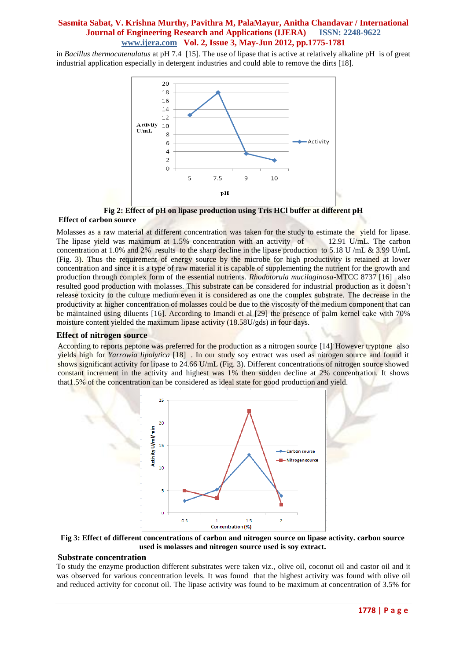in *Bacillus thermocatenulatus* at pH 7.4 [15]. The use of lipase that is active at relatively alkaline pH is of great industrial application especially in detergent industries and could able to remove the dirts [18].



**Fig 2: Effect of pH on lipase production using Tris HCl buffer at different pH**

#### **Effect of carbon source**

Molasses as a raw material at different concentration was taken for the study to estimate the yield for lipase. The lipase yield was maximum at 1.5% concentration with an activity of 12.91 U/mL. The carbon concentration at 1.0% and 2% results to the sharp decline in the lipase production to 5.18 U /mL & 3.99 U/mL (Fig. 3). Thus the requirement of energy source by the microbe for high productivity is retained at lower concentration and since it is a type of raw material it is capable of supplementing the nutrient for the growth and production through complex form of the essential nutrients. *Rhodotorula mucilaginosa*-MTCC 8737 [16] also resulted good production with molasses. This substrate can be considered for industrial production as it doesn't release toxicity to the culture medium even it is considered as one the complex substrate. The decrease in the productivity at higher concentration of molasses could be due to the viscosity of the medium component that can be maintained using diluents [16]. According to Imandi et al [29] the presence of palm kernel cake with 70% moisture content yielded the maximum lipase activity (18.58U/gds) in four days.

#### **Effect of nitrogen source**

According to reports peptone was preferred for the production as a nitrogen source [14]. However tryptone also yields high for *Yarrowia lipolytica* [18] . In our study soy extract was used as nitrogen source and found it shows significant activity for lipase to 24.66 U/mL (Fig. 3). Different concentrations of nitrogen source showed constant increment in the activity and highest was 1% then sudden decline at 2% concentration. It shows that1.5% of the concentration can be considered as ideal state for good production and yield.



**Fig 3: Effect of different concentrations of carbon and nitrogen source on lipase activity. carbon source used is molasses and nitrogen source used is soy extract.**

#### **Substrate concentration**

To study the enzyme production different substrates were taken viz., olive oil, coconut oil and castor oil and it was observed for various concentration levels. It was found that the highest activity was found with olive oil and reduced activity for coconut oil. The lipase activity was found to be maximum at concentration of 3.5% for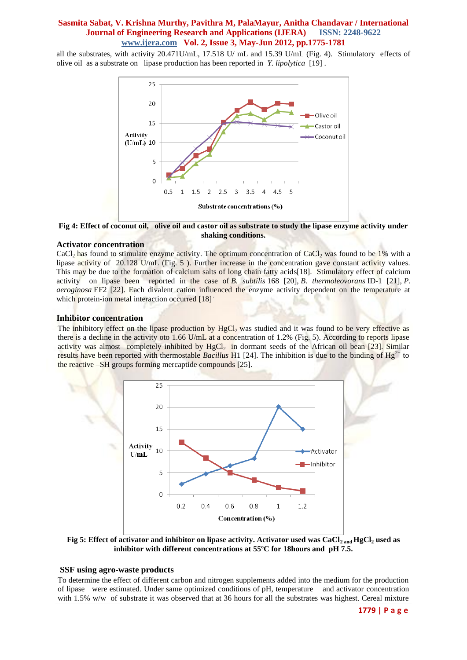all the substrates, with activity 20.471U/mL, 17.518 U/ mL and 15.39 U/mL (Fig. 4). Stimulatory effects of olive oil as a substrate on lipase production has been reported in *Y. lipolytica* [19] .



**Fig 4: Effect of coconut oil, olive oil and castor oil as substrate to study the lipase enzyme activity under shaking conditions.** 

## **Activator concentration**

CaCl<sub>2</sub> has found to stimulate enzyme activity. The optimum concentration of CaCl<sub>2</sub> was found to be 1% with a lipase activity of 20.128 U/mL (Fig. 5 ). Further increase in the concentration gave constant activity values. This may be due to the formation of calcium salts of long chain fatty acids [18]. Stimulatory effect of calcium activity on lipase been reported in the case of *B. subtilis* 168 [20], *B. thermoleovorans* ID-1 [21], *P. aeroginosa* EF2 [22]. Each divalent cation influenced the enzyme activity dependent on the temperature at which protein-ion metal interaction occurred [18].

#### **Inhibitor concentration**

The inhibitory effect on the lipase production by  $HgCl<sub>2</sub>$  was studied and it was found to be very effective as there is a decline in the activity oto 1.66 U/mL at a concentration of 1.2% (Fig. 5). According to reports lipase activity was almost completely inhibited by  $HgCl<sub>2</sub>$  in dormant seeds of the African oil bean [23]. Similar results have been reported with thermostable *Bacillus*  $H1$  [24]. The inhibition is due to the binding of  $Hg^{2+}$  to the reactive –SH groups forming mercaptide compounds [25].



**Fig 5: Effect of activator and inhibitor on lipase activity. Activator used was CaCl2 and HgCl<sup>2</sup> used as inhibitor with different concentrations at 55ºC for 18hours and pH 7.5.**

#### **SSF using agro-waste products**

To determine the effect of different carbon and nitrogen supplements added into the medium for the production of lipase were estimated. Under same optimized conditions of pH, temperature and activator concentration with 1.5% w/w of substrate it was observed that at 36 hours for all the substrates was highest. Cereal mixture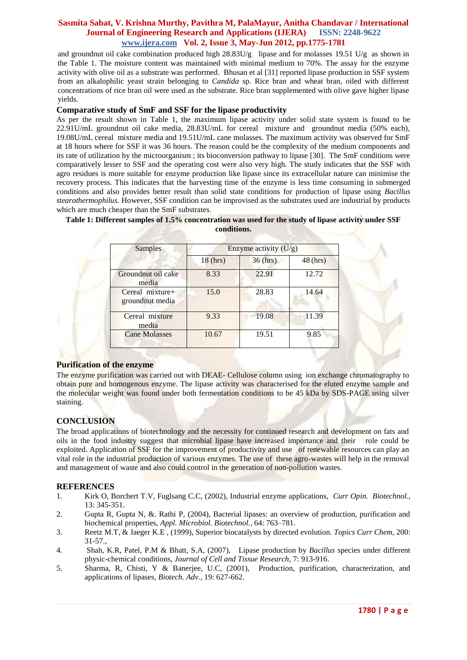and groundnut oil cake combination produced high  $28.83U/g$  lipase and for molasses 19.51 U/g as shown in the Table 1. The moisture content was maintained with minimal medium to 70%. The assay for the enzyme activity with olive oil as a substrate was performed. Bhusan et al [31] reported lipase production in SSF system from an alkalophilic yeast strain belonging to *Candida* sp. Rice bran and wheat bran, oiled with different concentrations of rice bran oil were used as the substrate. Rice bran supplemented with olive gave higher lipase yields.

### **Comparative study of SmF and SSF for the lipase productivity**

As per the result shown in Table 1, the maximum lipase activity under solid state system is found to be 22.91U/mL groundnut oil cake media, 28.83U/mL for cereal mixture and groundnut media (50% each), 19.08U/mL cereal mixture media and 19.51U/mL cane molasses. The maximum activity was observed for SmF at 18 hours where for SSF it was 36 hours. The reason could be the complexity of the medium components and its rate of utilization by the microorganism ; its bioconversion pathway to lipase [30]. The SmF conditions were comparatively lesser to SSF and the operating cost were also very high. The study indicates that the SSF with agro residues is more suitable for enzyme production like lipase since its extracellular nature can minimise the recovery process. This indicates that the harvesting time of the enzyme is less time consuming in submerged conditions and also provides better result than solid state conditions for production of lipase using *Bacillus stearothermophilus.* However, SSF condition can be improvised as the substrates used are industrial by products which are much cheaper than the SmF substrates.

| Samples                             | Enzyme activity $(U/g)$ |            |            |
|-------------------------------------|-------------------------|------------|------------|
|                                     | $18$ (hrs)              | $36$ (hrs) | $48$ (hrs) |
| Groundnut oil cake<br>media         | 8.33                    | 22.91      | 12.72      |
| Cereal mixture+<br>ground nut media | 15.0                    | 28.83      | 14.64      |
| Cereal mixture<br>media             | 9.33                    | 19.08      | 11.39      |
| <b>Cane Molasses</b>                | 10.67                   | 19.51      | 9.85       |

## **Table 1: Different samples of 1.5% concentration was used for the study of lipase activity under SSF conditions.**

## **Purification of the enzyme**

The enzyme purification was carried out with DEAE- Cellulose column using ion exchange chromatography to obtain pure and homogenous enzyme. The lipase activity was characterised for the eluted enzyme sample and the molecular weight was found under both fermentation conditions to be 45 kDa by SDS-PAGE using silver staining.

## **CONCLUSION**

The broad applications of biotechnology and the necessity for continued research and development on fats and oils in the food industry suggest that microbial lipase have increased importance and their role could be exploited. Application of SSF for the improvement of productivity and use of renewable resources can play an vital role in the industrial production of various enzymes. The use of these agro-wastes will help in the removal and management of waste and also could control in the generation of non-pollution wastes.

#### **REFERENCES**

- 1. Kirk O, Borchert T.V, Fuglsang C.C, (2002), Industrial enzyme applications, *Curr Opin. Biotechnol.,* 13: 345-351.
- 2. Gupta R, Gupta N, &. Rathi P, (2004), Bacterial lipases: an overview of production, purification and biochemical properties, *Appl. Microbiol. Biotechnol.,* 64: 763–781.
- 3. Reetz M.T, & Jaeger K.E , (1999), Superior biocatalysts by directed evolution. *Topics Curr Chem,* 200: 31-57.,
- 4. Shah, K.R, Patel, P.M & Bhatt, S.A, (2007), Lipase production by *Bacillus* species under different physic-chemical conditions, *Journal of Cell and Tissue Research,* 7: 913-916.
- 5. Sharma, R, Chisti, Y & Banerjee, U.C, (2001), Production, purification, characterization, and applications of lipases, *Biotech. Adv.,* 19: 627-662.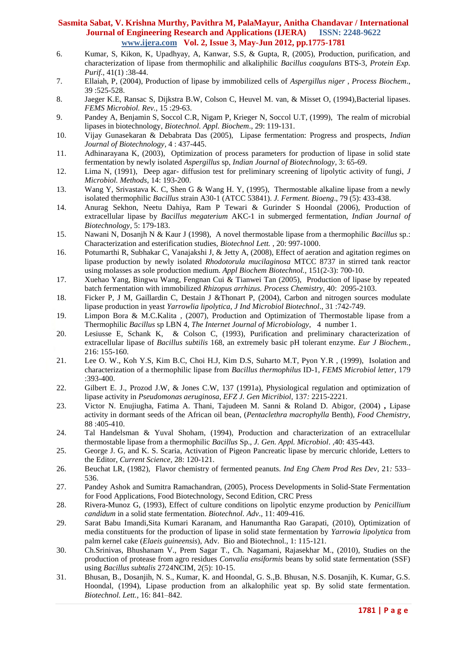- 6. Kumar, S, Kikon, K, Upadhyay, A, Kanwar, S.S, & Gupta, R, (2005), Production, purification, and characterization of lipase from thermophilic and alkaliphilic *Bacillus coagulans* BTS-3, *Protein Exp. Purif.,* 41(1) :38-44.
- 7. Ellaiah, P, (2004), Production of lipase by immobilized cells of *Aspergillus niger* , *Process Biochem*., 39 :525-528.
- 8. Jaeger K.E, Ransac S, Dijkstra B.W, Colson C, Heuvel M. van, & Misset O, (1994),Bacterial lipases. *FEMS Microbiol. Rev.,* 15 :29-63.
- 9. Pandey A, Benjamin S, Soccol C.R, Nigam P, Krieger N, Soccol U.T, (1999), The realm of microbial lipases in biotechnology, *Biotechnol. Appl. Biochem*., 29: 119-131.
- 10. Vijay Gunasekaran & Debabrata Das (2005), Lipase fermentation: Progress and prospects, *Indian Journal of Biotechnology,* 4 : 437-445.
- 11. Adhinarayana K, (2003), Optimization of process parameters for production of lipase in solid state fermentation by newly isolated *Aspergillus* sp, *Indian Journal of Biotechnology,* 3: 65-69.
- 12. Lima N, (1991), Deep agar- diffusion test for preliminary screening of lipolytic activity of fungi, *J Microbiol. Methods*, 14: 193-200.
- 13. Wang Y, Srivastava K. C, Shen G & Wang H. Y, (1995), Thermostable alkaline lipase from a newly isolated thermophilic *Bacillus* strain A30-1 (ATCC 53841). *J. Ferment. Bioeng*., 79 (5): 433-438.
- 14. Anurag Sekhon, Neetu Dahiya, Ram P Tewari & Gurinder S Hoondal (2006), Production of extracellular lipase by *Bacillus megaterium* AKC-1 in submerged fermentation, *Indian Journal of Biotechnology,* 5: 179-183.
- 15. Nawani N, Dosanjh N & Kaur J (1998), A novel thermostable lipase from a thermophilic *Bacillus* sp.: Characterization and esterification studies, *Biotechnol Lett.* , 20: 997-1000.
- 16. Potumarthi R, Subhakar C, Vanajakshi J, & Jetty A, (2008), Effect of aeration and agitation regimes on lipase production by newly isolated *Rhodotorula mucilaginosa* MTCC 8737 in stirred tank reactor using molasses as sole production medium. *Appl Biochem Biotechnol.,* 151(2-3): 700-10.
- 17. Xuehao Yang, Bingwu Wang, Fengnan Cui & Tianwei Tan (2005), Production of lipase by repeated batch fermentation with immobilized *Rhizopus arrhizus. Process Chemistry*, 40: 2095-2103.
- 18. Ficker P, J M, Gaillardin C, Destain J &Thonart P, (2004), Carbon and nitrogen sources modulate lipase production in yeast *Yarrowlia lipolytica*, *J Ind Microbiol Biotechnol*., 31 :742-749.
- 19. Limpon Bora & M.C.Kalita , (2007), Production and Optimization of Thermostable lipase from a Thermophilic *Bacillus* sp LBN 4, *The Internet Journal of Microbiology*, 4 number 1.
- 20. Lesiusse E, Schank K, & Colson C, (1993), Purification and preliminary characterization of extracellular lipase of *Bacillus subtilis* 168, an extremely basic pH tolerant enzyme. *Eur J Biochem.,* 216: 155-160.
- 21. Lee O. W., Koh Y.S, Kim B.C, Choi H.J, Kim D.S, Suharto M.T, Pyon Y.R , (1999), Isolation and characterization of a thermophilic lipase from *Bacillus thermophilus* ID-1, *FEMS Microbiol letter,* 179 :393-400.
- 22. Gilbert E. J., Prozod J.W, & Jones C.W, 137 (1991a), Physiological regulation and optimization of lipase activity in *Pseudomonas aeruginosa*, *EFZ J. Gen Micribiol,* 137*:* 2215-2221.
- 23. Victor N. Enujiugha, Fatima A. Thani, Tajudeen M. Sanni & Roland D. Abigor, (2004) **,** Lipase activity in dormant seeds of the African oil bean, (*Pentaclethra macrophylla* Benth)*, Food Chemistry,* 88 :405-410.
- 24. Tal Handelsman & Yuval Shoham, (1994), Production and characterization of an extracellular thermostable lipase from a thermophilic *Bacillus* Sp., *J. Gen. Appl. Microbiol*. ,40: 435-443.
- 25. George J. G, and K. S. Scaria, Activation of Pigeon Pancreatic lipase by mercuric chloride, Letters to the Editor, *Current Science,* 28: 120-121.
- 26. Beuchat LR, (1982)*,* Flavor chemistry of fermented peanuts*. Ind Eng Chem Prod Res Dev,* 21*:* 533*–* 536.
- 27. Pandey Ashok and Sumitra Ramachandran, (2005), Process Developments in Solid-State Fermentation for Food Applications, Food Biotechnology, Second Edition, CRC Press
- 28. Rivera-Munoz G, (1993), Effect of culture conditions on lipolytic enzyme production by *Penicillium candidum* in a solid state fermentation. *Biotechnol. Adv*., 11: 409-416.
- 29. Sarat Babu Imandi,Sita Kumari Karanam, and Hanumantha Rao Garapati, (2010), Optimization of media constituents for the production of lipase in solid state fermentation by *Yarrowia lipolytica* from palm kernel cake (*Elaeis guineensis*), Adv. Bio and Biotechnol., 1: 115-121.
- 30. Ch.Srinivas, Bhushanam V., Prem Sagar T., Ch. Nagamani, Rajasekhar M., (2010), Studies on the production of protease from agro residues *Convalia ensiformis* beans by solid state fermentation (SSF) using *Bacillus subtalis* 2724NCIM, 2(5): 10-15.
- 31. Bhusan, B., Dosanjih, N. S., Kumar, K. and Hoondal, G. S.,B. Bhusan, N.S. Dosanjih, K. Kumar, G.S. Hoondal, (1994), Lipase production from an alkalophilic yeat sp. By solid state fermentation. *Biotechnol. Lett.,* 16: 841–842.